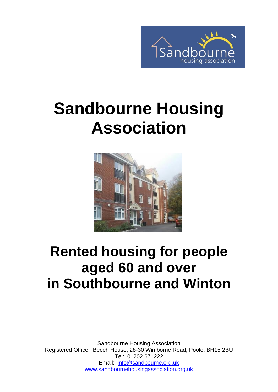

# **Sandbourne Housing Association**



# **Rented housing for people aged 60 and over in Southbourne and Winton**

Sandbourne Housing Association Registered Office: Beech House, 28-30 Wimborne Road, Poole, BH15 2BU Tel: 01202 671222 Email: [info@sandbourne.org.uk](mailto:info@sandbourne.org.uk) [www.sandbournehousingassociation.org.uk](http://www.sandbournehousingassociation.org.uk/)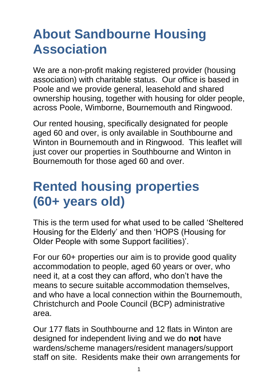## **About Sandbourne Housing Association**

We are a non-profit making registered provider (housing association) with charitable status. Our office is based in Poole and we provide general, leasehold and shared ownership housing, together with housing for older people, across Poole, Wimborne, Bournemouth and Ringwood.

Our rented housing, specifically designated for people aged 60 and over, is only available in Southbourne and Winton in Bournemouth and in Ringwood. This leaflet will just cover our properties in Southbourne and Winton in Bournemouth for those aged 60 and over.

## **Rented housing properties (60+ years old)**

This is the term used for what used to be called 'Sheltered Housing for the Elderly' and then 'HOPS (Housing for Older People with some Support facilities)'.

For our 60+ properties our aim is to provide good quality accommodation to people, aged 60 years or over, who need it, at a cost they can afford, who don't have the means to secure suitable accommodation themselves, and who have a local connection within the Bournemouth, Christchurch and Poole Council (BCP) administrative area.

Our 177 flats in Southbourne and 12 flats in Winton are designed for independent living and we do **not** have wardens/scheme managers/resident managers/support staff on site. Residents make their own arrangements for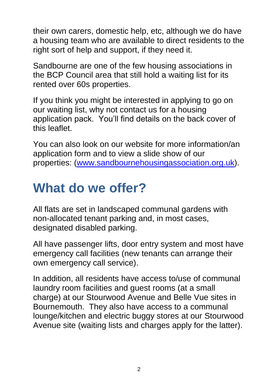their own carers, domestic help, etc, although we do have a housing team who are available to direct residents to the right sort of help and support, if they need it.

Sandbourne are one of the few housing associations in the BCP Council area that still hold a waiting list for its rented over 60s properties.

If you think you might be interested in applying to go on our waiting list, why not contact us for a housing application pack. You'll find details on the back cover of this leaflet.

You can also look on our website for more information/an application form and to view a slide show of our properties: [\(www.sandbournehousingassociation.org.uk\)](http://www.sandbournehousingassociation.org.uk/).

#### **What do we offer?**

All flats are set in landscaped communal gardens with non-allocated tenant parking and, in most cases, designated disabled parking.

All have passenger lifts, door entry system and most have emergency call facilities (new tenants can arrange their own emergency call service).

In addition, all residents have access to/use of communal laundry room facilities and guest rooms (at a small charge) at our Stourwood Avenue and Belle Vue sites in Bournemouth. They also have access to a communal lounge/kitchen and electric buggy stores at our Stourwood Avenue site (waiting lists and charges apply for the latter).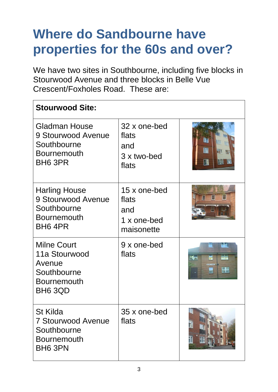# **Where do Sandbourne have properties for the 60s and over?**

We have two sites in Southbourne, including five blocks in Stourwood Avenue and three blocks in Belle Vue Crescent/Foxholes Road. These are:

| <b>Stourwood Site:</b>                                                                                 |                                                           |    |  |  |
|--------------------------------------------------------------------------------------------------------|-----------------------------------------------------------|----|--|--|
| <b>Gladman House</b><br>9 Stourwood Avenue<br>Southbourne<br><b>Bournemouth</b><br>BH <sub>6</sub> 3PR | 32 x one-bed<br>flats<br>and<br>3 x two-bed<br>flats      |    |  |  |
| <b>Harling House</b><br>9 Stourwood Avenue<br>Southbourne<br><b>Bournemouth</b><br>BH6 4PR             | 15 x one-bed<br>flats<br>and<br>1 x one-bed<br>maisonette |    |  |  |
| <b>Milne Court</b><br>11a Stourwood<br>Avenue<br>Southbourne<br><b>Bournemouth</b><br>BH6 3QD          | 9 x one-bed<br>flats                                      | H. |  |  |
| <b>St Kilda</b><br><b>7 Stourwood Avenue</b><br>Southbourne<br><b>Bournemouth</b><br>BH6 3PN           | 35 x one-bed<br>flats                                     |    |  |  |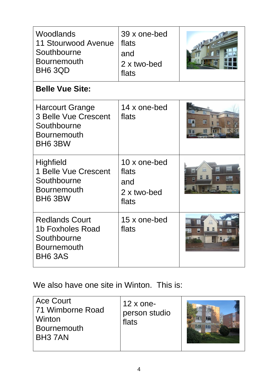| Woodlands<br>11 Stourwood Avenue<br>Southbourne<br><b>Bournemouth</b><br>BH6 3QD                        | 39 x one-bed<br>flats<br>and<br>2 x two-bed<br>flats |                      |  |  |
|---------------------------------------------------------------------------------------------------------|------------------------------------------------------|----------------------|--|--|
| <b>Belle Vue Site:</b>                                                                                  |                                                      |                      |  |  |
| <b>Harcourt Grange</b><br><b>3 Belle Vue Crescent</b><br>Southbourne<br><b>Bournemouth</b><br>BH6 3BW   | 14 x one-bed<br>flats                                | n                    |  |  |
| <b>Highfield</b><br>1 Belle Vue Crescent<br>Southbourne<br><b>Bournemouth</b><br>BH6 3BW                | 10 x one-bed<br>flats<br>and<br>2 x two-bed<br>flats | ■■<br><b>ERS MIN</b> |  |  |
| <b>Redlands Court</b><br><b>1b Foxholes Road</b><br>Southbourne<br><b>Bournemouth</b><br><b>BH6 3AS</b> | 15 x one-bed<br>flats                                |                      |  |  |

We also have one site in Winton. This is:

| <b>Ace Court</b><br>71 Wimborne Road<br>Winton<br><b>Bournemouth</b><br>BH <sub>3</sub> 7AN | $12 \times$ one-<br>person studio<br>flats |  |
|---------------------------------------------------------------------------------------------|--------------------------------------------|--|
|---------------------------------------------------------------------------------------------|--------------------------------------------|--|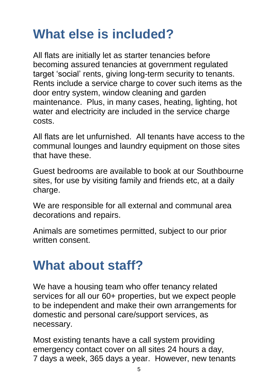## **What else is included?**

All flats are initially let as starter tenancies before becoming assured tenancies at government regulated target 'social' rents, giving long-term security to tenants. Rents include a service charge to cover such items as the door entry system, window cleaning and garden maintenance. Plus, in many cases, heating, lighting, hot water and electricity are included in the service charge costs.

All flats are let unfurnished. All tenants have access to the communal lounges and laundry equipment on those sites that have these.

Guest bedrooms are available to book at our Southbourne sites, for use by visiting family and friends etc, at a daily charge.

We are responsible for all external and communal area decorations and repairs.

Animals are sometimes permitted, subject to our prior written consent.

#### **What about staff?**

We have a housing team who offer tenancy related services for all our 60+ properties, but we expect people to be independent and make their own arrangements for domestic and personal care/support services, as necessary.

Most existing tenants have a call system providing emergency contact cover on all sites 24 hours a day, 7 days a week, 365 days a year. However, new tenants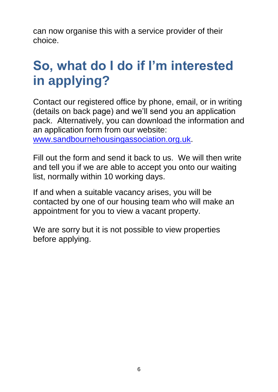can now organise this with a service provider of their choice.

# **So, what do I do if I'm interested in applying?**

Contact our registered office by phone, email, or in writing (details on back page) and we'll send you an application pack. Alternatively, you can download the information and an application form from our website:

[www.sandbournehousingassociation.org.uk.](http://www.sandbournehousingassociation.org.uk/)

Fill out the form and send it back to us. We will then write and tell you if we are able to accept you onto our waiting list, normally within 10 working days.

If and when a suitable vacancy arises, you will be contacted by one of our housing team who will make an appointment for you to view a vacant property.

We are sorry but it is not possible to view properties before applying.